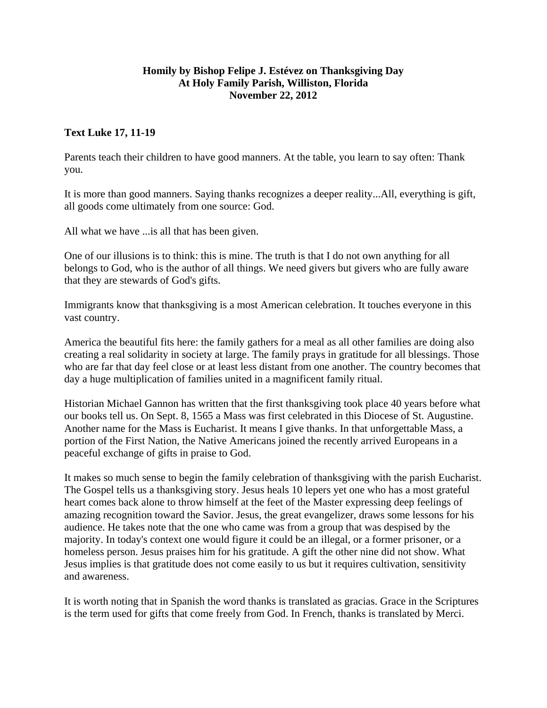## **Homily by Bishop Felipe J. Estévez on Thanksgiving Day At Holy Family Parish, Williston, Florida November 22, 2012**

## **Text Luke 17, 11-19**

Parents teach their children to have good manners. At the table, you learn to say often: Thank you.

It is more than good manners. Saying thanks recognizes a deeper reality...All, everything is gift, all goods come ultimately from one source: God.

All what we have ...is all that has been given.

One of our illusions is to think: this is mine. The truth is that I do not own anything for all belongs to God, who is the author of all things. We need givers but givers who are fully aware that they are stewards of God's gifts.

Immigrants know that thanksgiving is a most American celebration. It touches everyone in this vast country.

America the beautiful fits here: the family gathers for a meal as all other families are doing also creating a real solidarity in society at large. The family prays in gratitude for all blessings. Those who are far that day feel close or at least less distant from one another. The country becomes that day a huge multiplication of families united in a magnificent family ritual.

Historian Michael Gannon has written that the first thanksgiving took place 40 years before what our books tell us. On Sept. 8, 1565 a Mass was first celebrated in this Diocese of St. Augustine. Another name for the Mass is Eucharist. It means I give thanks. In that unforgettable Mass, a portion of the First Nation, the Native Americans joined the recently arrived Europeans in a peaceful exchange of gifts in praise to God.

It makes so much sense to begin the family celebration of thanksgiving with the parish Eucharist. The Gospel tells us a thanksgiving story. Jesus heals 10 lepers yet one who has a most grateful heart comes back alone to throw himself at the feet of the Master expressing deep feelings of amazing recognition toward the Savior. Jesus, the great evangelizer, draws some lessons for his audience. He takes note that the one who came was from a group that was despised by the majority. In today's context one would figure it could be an illegal, or a former prisoner, or a homeless person. Jesus praises him for his gratitude. A gift the other nine did not show. What Jesus implies is that gratitude does not come easily to us but it requires cultivation, sensitivity and awareness.

It is worth noting that in Spanish the word thanks is translated as gracias. Grace in the Scriptures is the term used for gifts that come freely from God. In French, thanks is translated by Merci.